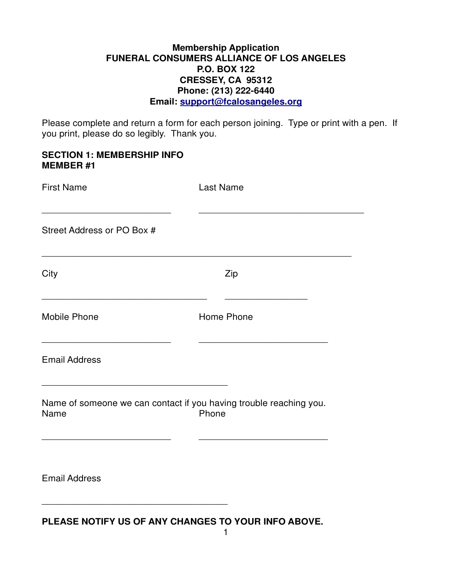#### **Membership Application FUNERAL CONSUMERS ALLIANCE OF LOS ANGELES P.O. BOX 122 CRESSEY, CA 95312 Phone: (213) 222-6440 Email: support@fcalosangeles.org**

Please complete and return a form for each person joining. Type or print with a pen. If you print, please do so legibly. Thank you.

#### **SECTION 1: MEMBERSHIP INFO MEMBER #1**

| <b>First Name</b>                                                          | <b>Last Name</b> |
|----------------------------------------------------------------------------|------------------|
| Street Address or PO Box #                                                 |                  |
| City                                                                       | Zip              |
| <b>Mobile Phone</b>                                                        | Home Phone       |
| <b>Email Address</b>                                                       |                  |
| Name of someone we can contact if you having trouble reaching you.<br>Name | Phone            |
| <b>Email Address</b>                                                       |                  |

**PLEASE NOTIFY US OF ANY CHANGES TO YOUR INFO ABOVE.**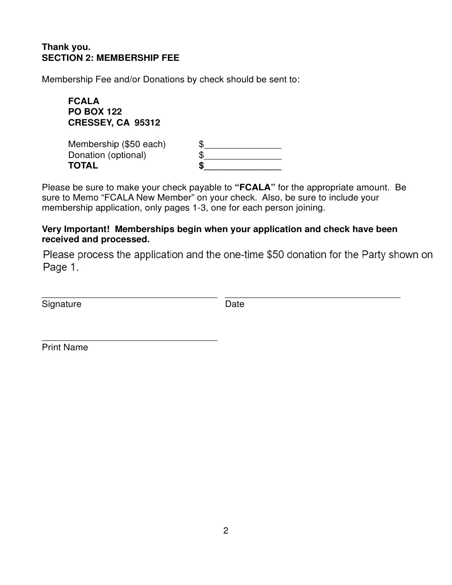## **Thank you. SECTION 2: MEMBERSHIP FEE**

Membership Fee and/or Donations by check should be sent to:

**FCALA PO BOX 122 CRESSEY, CA 95312**

\_\_\_\_\_\_\_\_\_\_\_\_\_\_\_\_\_\_\_\_\_\_\_\_\_\_\_\_\_\_\_\_\_\_

| Membership (\$50 each) | £ |
|------------------------|---|
| Donation (optional)    | Œ |
| <b>TOTAL</b>           | S |

Please be sure to make your check payable to **"FCALA"** for the appropriate amount. Be sure to Memo "FCALA New Member" on your check. Also, be sure to include your membership application, only pages 1-3, one for each person joining.

## **Very Important! Memberships begin when your application and check have been received and processed.**

\_\_\_\_\_\_\_\_\_\_\_\_\_\_\_\_\_\_\_\_\_\_\_\_\_\_\_\_\_\_\_\_\_\_ \_\_\_\_\_\_\_\_\_\_\_\_\_\_\_\_\_\_\_\_\_\_\_\_\_\_\_\_\_\_\_\_\_\_

Please process the application and the one-time \$50 donation for the Party shown on Page 1.

Signature Date

Print Name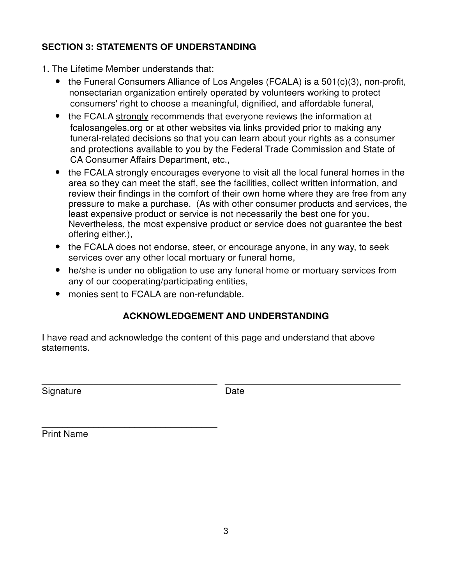## **SECTION 3: STATEMENTS OF UNDERSTANDING**

- 1. The Lifetime Member understands that:
	- the Funeral Consumers Alliance of Los Angeles (FCALA) is a 501(c)(3), non-profit, nonsectarian organization entirely operated by volunteers working to protect consumers' right to choose a meaningful, dignified, and affordable funeral,
	- the FCALA strongly recommends that everyone reviews the information at fcalosangeles.org or at other websites via links provided prior to making any funeral-related decisions so that you can learn about your rights as a consumer and protections available to you by the Federal Trade Commission and State of CA Consumer Affairs Department, etc.,
	- the FCALA strongly encourages everyone to visit all the local funeral homes in the area so they can meet the staff, see the facilities, collect written information, and review their findings in the comfort of their own home where they are free from any pressure to make a purchase. (As with other consumer products and services, the least expensive product or service is not necessarily the best one for you. Nevertheless, the most expensive product or service does not guarantee the best offering either.),
	- the FCALA does not endorse, steer, or encourage anyone, in any way, to seek services over any other local mortuary or funeral home,
	- he/she is under no obligation to use any funeral home or mortuary services from any of our cooperating/participating entities,
	- monies sent to FCALA are non-refundable.

\_\_\_\_\_\_\_\_\_\_\_\_\_\_\_\_\_\_\_\_\_\_\_\_\_\_\_\_\_\_\_\_\_\_

# **ACKNOWLEDGEMENT AND UNDERSTANDING**

I have read and acknowledge the content of this page and understand that above statements.

Signature Date

\_\_\_\_\_\_\_\_\_\_\_\_\_\_\_\_\_\_\_\_\_\_\_\_\_\_\_\_\_\_\_\_\_\_ \_\_\_\_\_\_\_\_\_\_\_\_\_\_\_\_\_\_\_\_\_\_\_\_\_\_\_\_\_\_\_\_\_\_

Print Name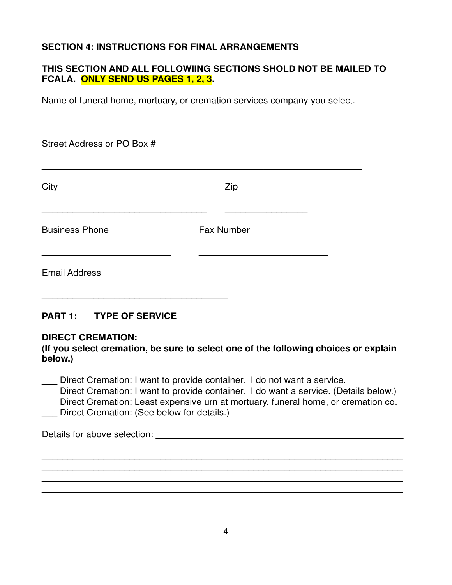## **SECTION 4: INSTRUCTIONS FOR FINAL ARRANGEMENTS**

## **THIS SECTION AND ALL FOLLOWIING SECTIONS SHOLD NOT BE MAILED TO FCALA. ONLY SEND US PAGES 1, 2, 3.**

Name of funeral home, mortuary, or cremation services company you select.

| Street Address or PO Box # |                   |  |
|----------------------------|-------------------|--|
| City                       | Zip               |  |
| <b>Business Phone</b>      | <b>Fax Number</b> |  |
| <b>Email Address</b>       |                   |  |

## **PART 1: TYPE OF SERVICE**

#### **DIRECT CREMATION:**

**(If you select cremation, be sure to select one of the following choices or explain below.)**

\_\_\_ Direct Cremation: I want to provide container. I do not want a service.

\_\_\_ Direct Cremation: I want to provide container. I do want a service. (Details below.)

Direct Cremation: Least expensive urn at mortuary, funeral home, or cremation co.

 $\overline{\phantom{a}}$  , and the contribution of the contribution of the contribution of the contribution of the contribution of the contribution of the contribution of the contribution of the contribution of the contribution of the  $\overline{a}$  , and the contribution of the contribution of the contribution of the contribution of the contribution of  $\overline{a}$  $\overline{a}$  , and the contribution of the contribution of the contribution of the contribution of the contribution of  $\overline{a}$  $\overline{a}$  , and the contribution of the contribution of the contribution of the contribution of the contribution of  $\overline{a}$  $\overline{a}$  , and the contribution of the contribution of the contribution of the contribution of the contribution of  $\overline{a}$  $\overline{a}$  , and the contribution of the contribution of the contribution of the contribution of the contribution of  $\overline{a}$ 

Direct Cremation: (See below for details.)

\_\_\_\_\_\_\_\_\_\_\_\_\_\_\_\_\_\_\_\_\_\_\_\_\_\_\_\_\_\_\_\_\_\_\_\_

Details for above selection: \_\_\_\_\_\_\_\_\_\_\_\_\_\_\_\_\_\_\_\_\_\_\_\_\_\_\_\_\_\_\_\_\_\_\_\_\_\_\_\_\_\_\_\_\_\_\_\_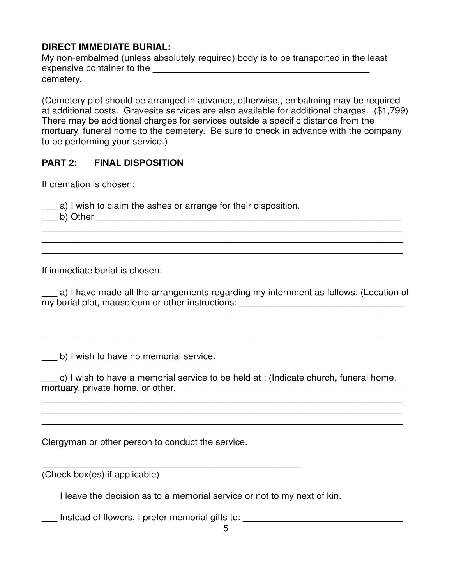## **DIRECT IMMEDIATE BURIAL:**

My non-embalmed (unless absolutely required) body is to be transported in the least expensive container to the \_\_\_\_\_\_\_\_\_\_\_\_\_\_\_\_\_\_\_\_\_\_\_\_\_\_\_\_\_\_\_\_\_\_\_\_\_\_\_\_\_\_ cemetery.

(Cemetery plot should be arranged in advance, otherwise,, embalming may be required at additional costs. Gravesite services are also available for additional charges. (\$1,799) There may be additional charges for services outside a specific distance from the mortuary, funeral home to the cemetery. Be sure to check in advance with the company to be performing your service.)

## **PART 2: FINAL DISPOSITION**

If cremation is chosen:

\_\_\_ a) I wish to claim the ashes or arrange for their disposition.

\_\_\_ b) Other \_\_\_\_\_\_\_\_\_\_\_\_\_\_\_\_\_\_\_\_\_\_\_\_\_\_\_\_\_\_\_\_\_\_\_\_\_\_\_\_\_\_\_\_\_\_\_\_\_\_\_\_\_\_\_\_\_\_\_

If immediate burial is chosen:

a) I have made all the arrangements regarding my internment as follows: (Location of my burial plot, mausoleum or other instructions: \_\_\_\_\_\_\_\_\_\_\_\_\_\_\_\_\_\_\_\_\_\_\_\_\_\_\_\_\_\_\_\_

 $\overline{\phantom{a}}$  , and the contribution of the contribution of the contribution of the contribution of the contribution of the contribution of the contribution of the contribution of the contribution of the contribution of the  $\overline{\phantom{a}}$  , and the contribution of the contribution of the contribution of the contribution of the contribution of the contribution of the contribution of the contribution of the contribution of the contribution of the  $\overline{\phantom{a}}$  , and the contribution of the contribution of the contribution of the contribution of the contribution of the contribution of the contribution of the contribution of the contribution of the contribution of the

 $\overline{a}$  , and the contribution of the contribution of the contribution of the contribution of the contribution of  $\overline{a}$  $\overline{a}$  , and the contribution of the contribution of the contribution of the contribution of the contribution of  $\overline{a}$  $\overline{a}$  , and the contribution of the contribution of the contribution of the contribution of the contribution of  $\overline{a}$ 

b) I wish to have no memorial service.

\_\_\_ c) I wish to have a memorial service to be held at : (Indicate church, funeral home, mortuary, private home, or other.\_\_\_\_\_\_\_\_\_\_\_\_\_\_\_\_\_\_\_\_\_\_\_\_\_\_\_\_\_\_\_\_\_\_\_\_\_\_\_\_\_\_\_\_

 $\overline{a}$  , and the contribution of the contribution of the contribution of the contribution of the contribution of  $\overline{a}$  $\overline{\phantom{a}}$  , and the contribution of the contribution of the contribution of the contribution of the contribution of the contribution of the contribution of the contribution of the contribution of the contribution of the

Clergyman or other person to conduct the service.

(Check box(es) if applicable)

I leave the decision as to a memorial service or not to my next of kin.

\_\_\_\_\_\_\_\_\_\_\_\_\_\_\_\_\_\_\_\_\_\_\_\_\_\_\_\_\_\_\_\_\_\_\_\_\_\_\_\_\_\_\_\_\_\_\_\_\_\_

\_\_\_\_\_\_\_\_\_\_\_\_\_\_\_\_\_\_\_\_\_\_\_\_\_\_\_\_\_\_\_\_\_\_\_\_\_\_\_\_\_\_\_\_\_\_\_\_\_\_\_\_\_\_\_\_\_\_\_\_\_\_\_\_\_\_\_\_\_\_

\_\_\_ Instead of flowers, I prefer memorial gifts to: \_\_\_\_\_\_\_\_\_\_\_\_\_\_\_\_\_\_\_\_\_\_\_\_\_\_\_\_\_\_\_\_\_\_